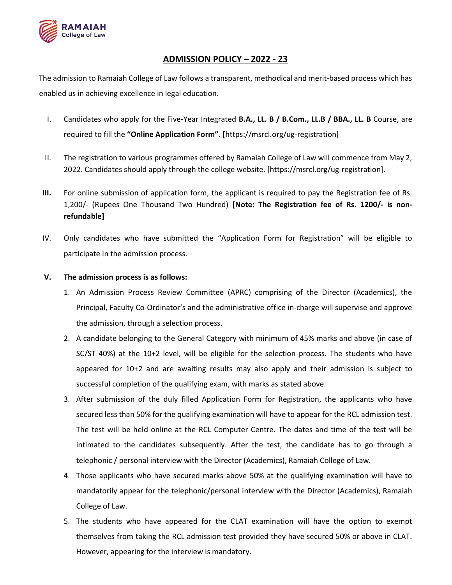

## ADMISSION POLICY – 2022 - 23

The admission to Ramaiah College of Law follows a transparent, methodical and merit-based process which has enabled us in achieving excellence in legal education.

- I. Candidates who apply for the Five-Year Integrated B.A., LL. B / B.Com., LL.B / BBA., LL. B Course, are required to fill the "Online Application Form". [https://msrcl.org/ug-registration]
- II. The registration to various programmes offered by Ramaiah College of Law will commence from May 2, 2022. Candidates should apply through the college website. [https://msrcl.org/ug-registration].
- III. For online submission of application form, the applicant is required to pay the Registration fee of Rs. 1,200/- (Rupees One Thousand Two Hundred) [Note: The Registration fee of Rs. 1200/- is nonrefundable]
- IV. Only candidates who have submitted the "Application Form for Registration" will be eligible to participate in the admission process.

## V. The admission process is as follows:

- 1. An Admission Process Review Committee (APRC) comprising of the Director (Academics), the Principal, Faculty Co-Ordinator's and the administrative office in-charge will supervise and approve the admission, through a selection process.
- 2. A candidate belonging to the General Category with minimum of 45% marks and above (in case of SC/ST 40%) at the 10+2 level, will be eligible for the selection process. The students who have appeared for 10+2 and are awaiting results may also apply and their admission is subject to successful completion of the qualifying exam, with marks as stated above.
- 3. After submission of the duly filled Application Form for Registration, the applicants who have secured less than 50% for the qualifying examination will have to appear for the RCL admission test. The test will be held online at the RCL Computer Centre. The dates and time of the test will be intimated to the candidates subsequently. After the test, the candidate has to go through a telephonic / personal interview with the Director (Academics), Ramaiah College of Law.
- 4. Those applicants who have secured marks above 50% at the qualifying examination will have to mandatorily appear for the telephonic/personal interview with the Director (Academics), Ramaiah College of Law.
- 5. The students who have appeared for the CLAT examination will have the option to exempt themselves from taking the RCL admission test provided they have secured 50% or above in CLAT. However, appearing for the interview is mandatory.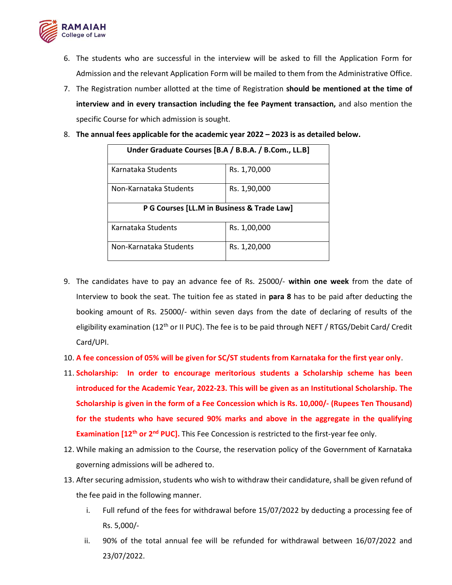

- 6. The students who are successful in the interview will be asked to fill the Application Form for Admission and the relevant Application Form will be mailed to them from the Administrative Office.
- 7. The Registration number allotted at the time of Registration should be mentioned at the time of interview and in every transaction including the fee Payment transaction, and also mention the specific Course for which admission is sought.

|  | 8. The annual fees applicable for the academic year 2022 - 2023 is as detailed below. |  |  |  |  |  |
|--|---------------------------------------------------------------------------------------|--|--|--|--|--|
|--|---------------------------------------------------------------------------------------|--|--|--|--|--|

| Under Graduate Courses [B.A / B.B.A. / B.Com., LL.B] |              |  |  |  |  |
|------------------------------------------------------|--------------|--|--|--|--|
| Karnataka Students                                   | Rs. 1,70,000 |  |  |  |  |
| Non-Karnataka Students                               | Rs. 1,90,000 |  |  |  |  |
| P G Courses [LL.M in Business & Trade Law]           |              |  |  |  |  |
|                                                      |              |  |  |  |  |
| Karnataka Students                                   | Rs. 1,00,000 |  |  |  |  |

- 9. The candidates have to pay an advance fee of Rs. 25000/- within one week from the date of Interview to book the seat. The tuition fee as stated in para 8 has to be paid after deducting the booking amount of Rs. 25000/- within seven days from the date of declaring of results of the eligibility examination (12<sup>th</sup> or II PUC). The fee is to be paid through NEFT / RTGS/Debit Card/ Credit Card/UPI.
- 10. A fee concession of 05% will be given for SC/ST students from Karnataka for the first year only.
- 11. Scholarship: In order to encourage meritorious students a Scholarship scheme has been introduced for the Academic Year, 2022-23. This will be given as an Institutional Scholarship. The Scholarship is given in the form of a Fee Concession which is Rs. 10,000/- (Rupees Ten Thousand) for the students who have secured 90% marks and above in the aggregate in the qualifying Examination [12<sup>th</sup> or 2<sup>nd</sup> PUC]. This Fee Concession is restricted to the first-year fee only.
- 12. While making an admission to the Course, the reservation policy of the Government of Karnataka governing admissions will be adhered to.
- 13. After securing admission, students who wish to withdraw their candidature, shall be given refund of the fee paid in the following manner.
	- i. Full refund of the fees for withdrawal before 15/07/2022 by deducting a processing fee of Rs. 5,000/-
	- ii. 90% of the total annual fee will be refunded for withdrawal between 16/07/2022 and 23/07/2022.